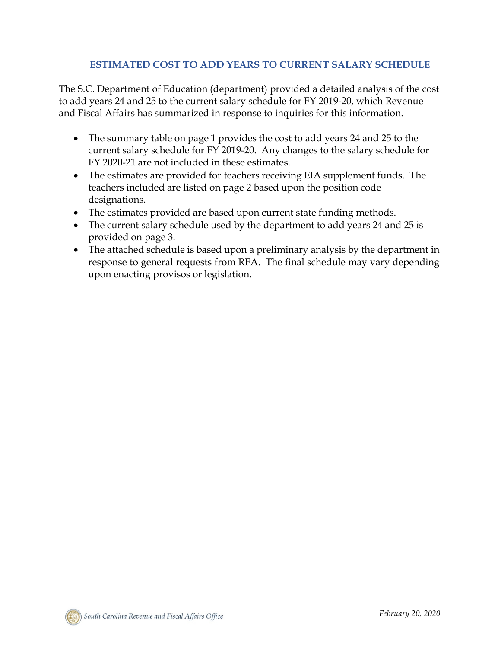## **ESTIMATED COST TO ADD YEARS TO CURRENT SALARY SCHEDULE**

The S.C. Department of Education (department) provided a detailed analysis of the cost to add years 24 and 25 to the current salary schedule for FY 2019-20, which Revenue and Fiscal Affairs has summarized in response to inquiries for this information.

- The summary table on page 1 provides the cost to add years 24 and 25 to the current salary schedule for FY 2019-20. Any changes to the salary schedule for FY 2020-21 are not included in these estimates.
- The estimates are provided for teachers receiving EIA supplement funds. The teachers included are listed on page 2 based upon the position code designations.
- The estimates provided are based upon current state funding methods.
- The current salary schedule used by the department to add years 24 and 25 is provided on page 3.
- The attached schedule is based upon a preliminary analysis by the department in response to general requests from RFA. The final schedule may vary depending upon enacting provisos or legislation.

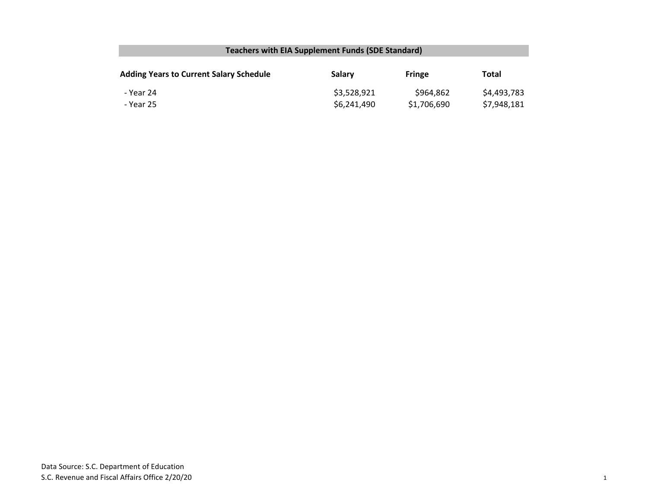## **Teachers with EIA Supplement Funds (SDE Standard)**

| <b>Adding Years to Current Salary Schedule</b> | Salary      | <b>Fringe</b> | Total       |
|------------------------------------------------|-------------|---------------|-------------|
| - Year 24                                      | \$3,528,921 | \$964,862     | \$4,493,783 |
| - Year 25                                      | \$6,241,490 | \$1,706,690   | \$7,948,181 |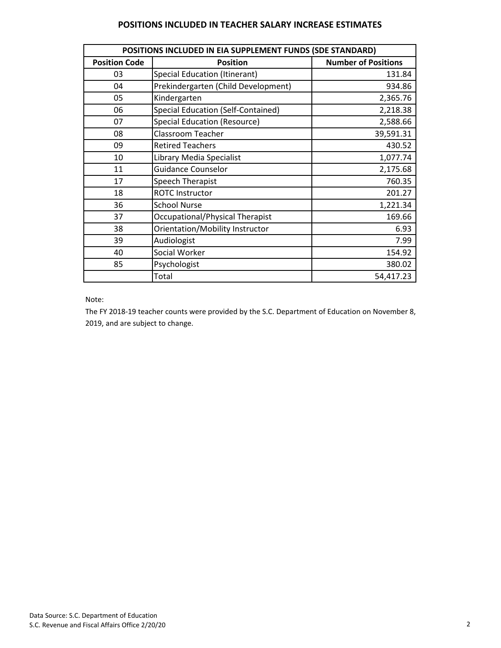## **POSITIONS INCLUDED IN TEACHER SALARY INCREASE ESTIMATES**

| POSITIONS INCLUDED IN EIA SUPPLEMENT FUNDS (SDE STANDARD) |                                      |                            |  |  |  |
|-----------------------------------------------------------|--------------------------------------|----------------------------|--|--|--|
| <b>Position Code</b>                                      | <b>Position</b>                      | <b>Number of Positions</b> |  |  |  |
| 03                                                        | <b>Special Education (Itinerant)</b> | 131.84                     |  |  |  |
| 04                                                        | Prekindergarten (Child Development)  | 934.86                     |  |  |  |
| 05                                                        | Kindergarten                         | 2,365.76                   |  |  |  |
| 06                                                        | Special Education (Self-Contained)   | 2,218.38                   |  |  |  |
| 07                                                        | <b>Special Education (Resource)</b>  | 2,588.66                   |  |  |  |
| 08                                                        | <b>Classroom Teacher</b>             | 39,591.31                  |  |  |  |
| 09                                                        | <b>Retired Teachers</b>              | 430.52                     |  |  |  |
| 10                                                        | Library Media Specialist             | 1,077.74                   |  |  |  |
| 11                                                        | <b>Guidance Counselor</b>            | 2,175.68                   |  |  |  |
| 17                                                        | Speech Therapist                     | 760.35                     |  |  |  |
| 18                                                        | <b>ROTC Instructor</b>               | 201.27                     |  |  |  |
| 36                                                        | <b>School Nurse</b>                  | 1,221.34                   |  |  |  |
| 37                                                        | Occupational/Physical Therapist      | 169.66                     |  |  |  |
| 38                                                        | Orientation/Mobility Instructor      | 6.93                       |  |  |  |
| 39                                                        | Audiologist                          | 7.99                       |  |  |  |
| 40                                                        | Social Worker                        | 154.92                     |  |  |  |
| 85                                                        | Psychologist                         | 380.02                     |  |  |  |
|                                                           | Total                                | 54,417.23                  |  |  |  |

Note:

The FY 2018-19 teacher counts were provided by the S.C. Department of Education on November 8, 2019, and are subject to change.